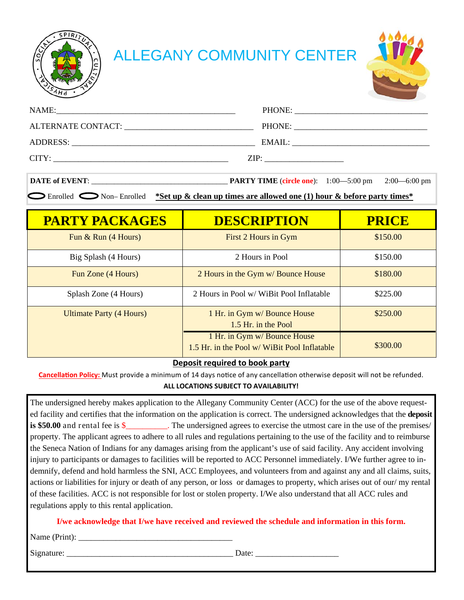

# ALLEGANY COMMUNITY CENTER



| NAME:<br><u> 1980 - Johann Stein, mars an deutscher Stein und der Stein und der Stein und der Stein und der Stein und der</u> |        |
|-------------------------------------------------------------------------------------------------------------------------------|--------|
|                                                                                                                               |        |
| ADDRESS:                                                                                                                      | EMAIL: |
| CITY:                                                                                                                         | ZIP:   |

| <b>DATE of EVENT:</b> | <b>PARTY TIME</b> (circle one): $1:00-5:00 \text{ pm}$ $2:00-6:00 \text{ pm}$ |  |  |
|-----------------------|-------------------------------------------------------------------------------|--|--|
|-----------------------|-------------------------------------------------------------------------------|--|--|

**Enrolled Solution-Enrolled \*Set up & clean up times are allowed one (1) hour & before party times\*** 

| <b>PARTY PACKAGES</b>           | <b>DESCRIPTION</b>                                                           | <b>PRICE</b> |
|---------------------------------|------------------------------------------------------------------------------|--------------|
| Fun $&$ Run $(4$ Hours)         | First 2 Hours in Gym                                                         | \$150.00     |
| Big Splash (4 Hours)            | 2 Hours in Pool                                                              | \$150.00     |
| Fun Zone (4 Hours)              | 2 Hours in the Gym w/ Bounce House                                           | \$180.00     |
| Splash Zone (4 Hours)           | 2 Hours in Pool w/ WiBit Pool Inflatable                                     | \$225.00     |
| <b>Ultimate Party (4 Hours)</b> | 1 Hr. in Gym w/ Bounce House<br>1.5 Hr. in the Pool                          | \$250.00     |
|                                 | 1 Hr. in Gym w/ Bounce House<br>1.5 Hr. in the Pool w/ WiBit Pool Inflatable | \$300.00     |

# **Deposit required to book party**

**Cancellation Policy:** Must provide a minimum of 14 days notice of any cancellation otherwise deposit will not be refunded.

# **ALL LOCATIONS SUBJECT TO AVAILABILITY!**

The undersigned hereby makes application to the Allegany Community Center (ACC) for the use of the above requested facility and certifies that the information on the application is correct. The undersigned acknowledges that the **deposit is \$50.00** and rental fee is \$\_\_\_\_\_\_\_. The undersigned agrees to exercise the utmost care in the use of the premises/ property. The applicant agrees to adhere to all rules and regulations pertaining to the use of the facility and to reimburse the Seneca Nation of Indians for any damages arising from the applicant's use of said facility. Any accident involving injury to participants or damages to facilities will be reported to ACC Personnel immediately. I/We further agree to indemnify, defend and hold harmless the SNI, ACC Employees, and volunteers from and against any and all claims, suits, actions or liabilities for injury or death of any person, or loss or damages to property, which arises out of our/ my rental of these facilities. ACC is not responsible for lost or stolen property. I/We also understand that all ACC rules and regulations apply to this rental application.

# **I/we acknowledge that I/we have received and reviewed the schedule and information in this form.**

 $Name (Print):$ 

Signature: \_\_\_\_\_\_\_\_\_\_\_\_\_\_\_\_\_\_\_\_\_\_\_\_\_\_\_\_\_\_\_\_\_\_\_\_\_\_\_\_ Date: \_\_\_\_\_\_\_\_\_\_\_\_\_\_\_\_\_\_\_\_